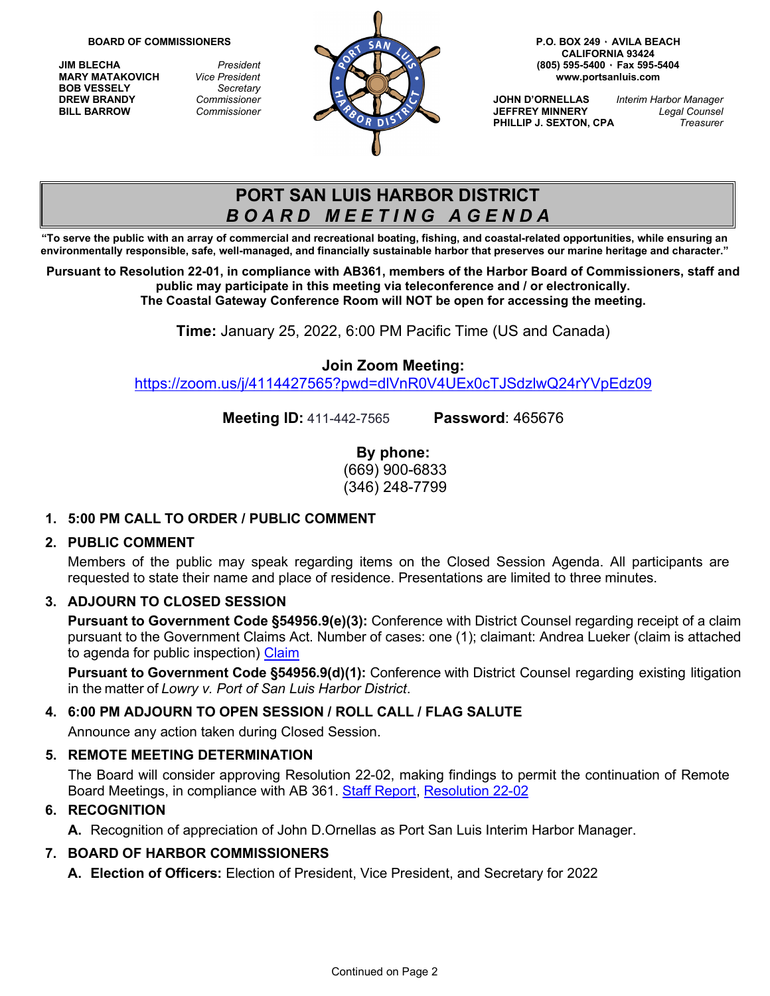**BOB VESSELY** *Secretary*



**CALIFORNIA 93424**

**PHILLIP J. SEXTON, CPA** 

# **PORT SAN LUIS HARBOR DISTRICT** *B O A R D M E E T I N G A G E N D A*

**"To serve the public with an array of commercial and recreational boating, fishing, and coastal-related opportunities, while ensuring an environmentally responsible, safe, well-managed, and financially sustainable harbor that preserves our marine heritage and character."**

**Pursuant to Resolution 22-01, in compliance with AB361, members of the Harbor Board of Commissioners, staff and public may participate in this meeting via teleconference and / or electronically. The Coastal Gateway Conference Room will NOT be open for accessing the meeting.** 

**Time:** January 25, 2022, 6:00 PM Pacific Time (US and Canada)

## **Join Zoom Meeting:**

<https://zoom.us/j/4114427565?pwd=dlVnR0V4UEx0cTJSdzlwQ24rYVpEdz09>

**Meeting ID:** 411-442-7565 **Password**: 465676

**By phone:** (669) 900-6833 (346) 248-7799

# **1. 5:00 PM CALL TO ORDER / PUBLIC COMMENT**

# **2. PUBLIC COMMENT**

Members of the public may speak regarding items on the Closed Session Agenda. All participants are requested to state their name and place of residence. Presentations are limited to three minutes.

# **3. ADJOURN TO CLOSED SESSION**

**Pursuant to Government Code §54956.9(e)(3):** Conference with District Counsel regarding receipt of a claim pursuant to the Government Claims Act. Number of cases: one (1); claimant: Andrea Lueker (claim is attached to agenda for public inspection) [Claim](https://www.portsanluis.com/DocumentCenter/View/5886/Closed-Session---Lueker-Government-Claim_Redacted)

**Pursuant to Government Code §54956.9(d)(1):** Conference with District Counsel regarding existing litigation in the matter of *Lowry v. Port of San Luis Harbor District*.

# **4. 6:00 PM ADJOURN TO OPEN SESSION / ROLL CALL / FLAG SALUTE**

Announce any action taken during Closed Session.

# **5. REMOTE MEETING DETERMINATION**

The Board will consider approving Resolution 22-02, making findings to permit the continuation of Remote Board Meetings, in compliance with AB 361. [Staff Report,](https://www.portsanluis.com/DocumentCenter/View/5905/RMD---AB-361-Continued-staff-report-and-Resolution) [Resolution 22-02](https://www.portsanluis.com/DocumentCenter/View/5906/RMDa---Reso-22-02-Authorizing-Contunuance-Teleconference-Meetings-of-the-Legislative-Bodies-of-the-PSLHD)

#### **6. RECOGNITION**

**A.** Recognition of appreciation of John D.Ornellas as Port San Luis Interim Harbor Manager.

# **7. BOARD OF HARBOR COMMISSIONERS**

**A. Election of Officers:** Election of President, Vice President, and Secretary for 2022